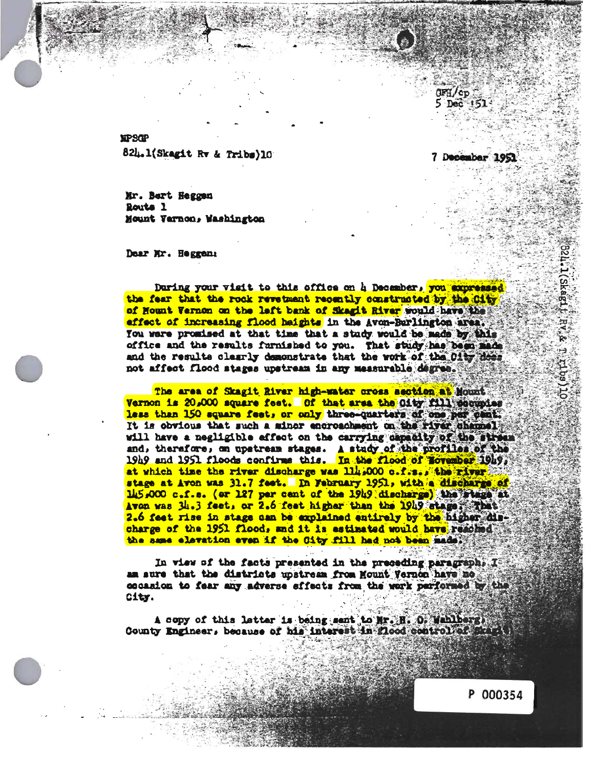SPSOP 82U.l<Skagit Rr & Tribs)10

8r. Bert Heggen toute 1 Mount Varnon, Washington

Dear Rr. Heggem

During your visit to this office on **k** December, you expressed the fear that the rock revetment recently constructed by the City of Hount Vernon on the left bank of Skagit River would have the effect of increasing flood heights in the Avon-Barlington area. You were promised at that time that a study would be made by this office and the results farmished to you. That study has been made and the results clearly demonstrate that the work of the 01ty does not affect flood stages upstream in any measurable degree.

The area of Skagit River high-water cross section at Nount Vernon is 20,000 square feet. Of that area the 01ty fill peoupies less than 150 square feet, or only three-quarters of one per cent.<br>It is obvious that such a minor encroachment on the river channel vill have a negligible effect on the carrying capacity of the stream and, therefore, on upstream stages. A study of the profiles of the 19h9 and 1951 floods confirms this. In the flood of lovember 19h9. at vhieh tine toe river discharge was lib \*000 o.f.s.» the river stage at Avon was 31.7 feet. In February 1951, with a discharge of 145,000 c.f.s. (or 127 per cent of the 1949 discharge) the stage at Avon was 34.3 feet, or 2.6 feet higher than the 1949 stage subst 2.6 feet rise in stage can be explained entirely by the higher discharge of the 1951 flood, and it is estimated would have reached. the same elevation even if the City fill had not been made.

In view of the facts presented in the preceding paragraphs  $\mathfrak{X}^{\mathbb{S}}$ am sure that the districts upstream from Mount Vernon have no city.

A copy of this letter is being sent to Mr. H. O. Weblberg. County Engineer, because of his interest in flood control of skill

P 000354

7 December 1951

**CFH/cp** 5 Dec 151